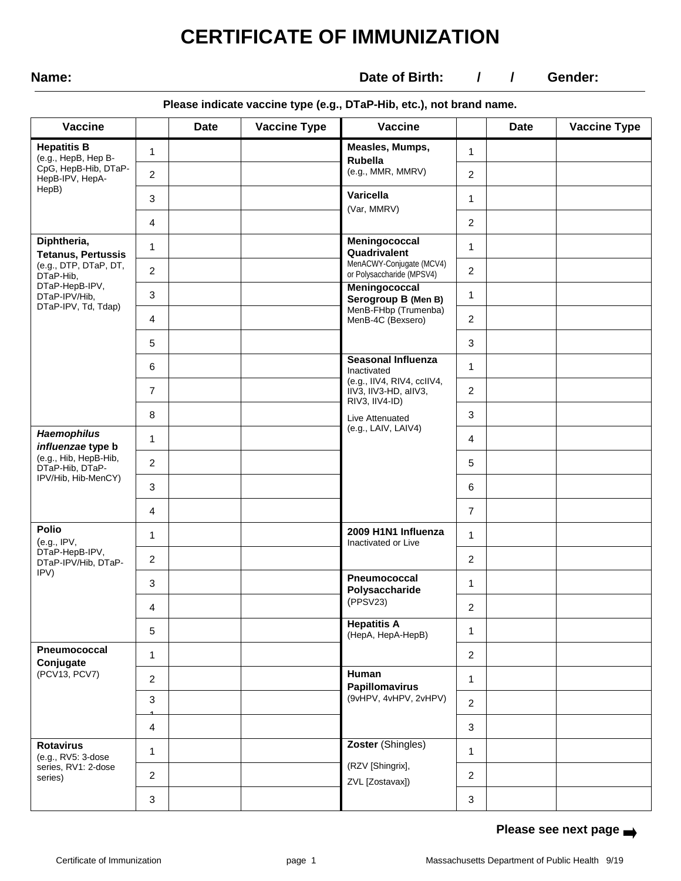# **CERTIFICATE OF IMMUNIZATION**

**Name: Date of Birth:**  $/$  / Gender:

### **Please indicate vaccine type (e.g., DTaP-Hib, etc.), not brand name.**

| <b>Vaccine</b>                                                                                |                | <b>Date</b> | <b>Vaccine Type</b> | <b>Vaccine</b>                                        |                | <b>Date</b> | <b>Vaccine Type</b> |
|-----------------------------------------------------------------------------------------------|----------------|-------------|---------------------|-------------------------------------------------------|----------------|-------------|---------------------|
| <b>Hepatitis B</b><br>(e.g., HepB, Hep B-<br>CpG, HepB-Hib, DTaP-<br>HepB-IPV, HepA-<br>HepB) | 1              |             |                     | Measles, Mumps,<br>Rubella                            | $\mathbf 1$    |             |                     |
|                                                                                               | $\overline{c}$ |             |                     | (e.g., MMR, MMRV)                                     | $\overline{2}$ |             |                     |
|                                                                                               | 3              |             |                     | Varicella<br>(Var, MMRV)                              | 1.             |             |                     |
|                                                                                               | 4              |             |                     |                                                       | $\overline{2}$ |             |                     |
| Diphtheria,<br><b>Tetanus, Pertussis</b><br>(e.g., DTP, DTaP, DT,<br>DTaP-Hib,                | 1              |             |                     | Meningococcal<br>Quadrivalent                         | 1              |             |                     |
|                                                                                               | 2              |             |                     | MenACWY-Conjugate (MCV4)<br>or Polysaccharide (MPSV4) | $\overline{2}$ |             |                     |
| DTaP-HepB-IPV,<br>DTaP-IPV/Hib,                                                               | 3              |             |                     | Meningococcal<br>Serogroup B (Men B)                  | 1              |             |                     |
| DTaP-IPV, Td, Tdap)                                                                           | 4              |             |                     | MenB-FHbp (Trumenba)<br>MenB-4C (Bexsero)             | $\overline{2}$ |             |                     |
|                                                                                               | 5              |             |                     |                                                       | 3              |             |                     |
|                                                                                               | 6              |             |                     | <b>Seasonal Influenza</b><br>Inactivated              | $\mathbf 1$    |             |                     |
|                                                                                               | $\overline{7}$ |             |                     | (e.g., IIV4, RIV4, ccIIV4,<br>IIV3, IIV3-HD, allV3,   | $\overline{2}$ |             |                     |
|                                                                                               | 8              |             |                     | RIV3, IIV4-ID)<br>Live Attenuated                     | 3              |             |                     |
| <b>Haemophilus</b><br>influenzae type b                                                       | 1              |             |                     | (e.g., LAIV, LAIV4)                                   | $\overline{4}$ |             |                     |
| (e.g., Hib, HepB-Hib,<br>DTaP-Hib, DTaP-                                                      | $\overline{c}$ |             |                     |                                                       | 5              |             |                     |
| IPV/Hib, Hib-MenCY)                                                                           | 3              |             |                     |                                                       | 6              |             |                     |
|                                                                                               | 4              |             |                     |                                                       | $\overline{7}$ |             |                     |
| Polio<br>(e.g., IPV,<br>DTaP-HepB-IPV,<br>DTaP-IPV/Hib, DTaP-<br>IPV)                         | 1              |             |                     | 2009 H1N1 Influenza<br>Inactivated or Live            | 1              |             |                     |
|                                                                                               | $\overline{c}$ |             |                     |                                                       | $\overline{2}$ |             |                     |
|                                                                                               | 3              |             |                     | Pneumococcal<br>Polysaccharide                        | 1              |             |                     |
|                                                                                               | 4              |             |                     | (PPSV23)                                              | $\overline{2}$ |             |                     |
|                                                                                               | 5              |             |                     | <b>Hepatitis A</b><br>(HepA, HepA-HepB)               | 1              |             |                     |
| Pneumococcal<br>Conjugate<br>(PCV13, PCV7)                                                    | 1              |             |                     |                                                       | $\overline{2}$ |             |                     |
|                                                                                               | 2              |             |                     | Human<br><b>Papillomavirus</b>                        | 1              |             |                     |
|                                                                                               | 3              |             |                     | (9vHPV, 4vHPV, 2vHPV)                                 | $\overline{2}$ |             |                     |
|                                                                                               | 4              |             |                     |                                                       | 3              |             |                     |
| <b>Rotavirus</b><br>(e.g., RV5: 3-dose<br>series, RV1: 2-dose<br>series)                      | 1              |             |                     | Zoster (Shingles)                                     | 1              |             |                     |
|                                                                                               | 2              |             |                     | (RZV [Shingrix],<br>ZVL [Zostavax])                   | $\overline{2}$ |             |                     |
|                                                                                               | 3              |             |                     |                                                       | 3              |             |                     |

## **Please see next page**